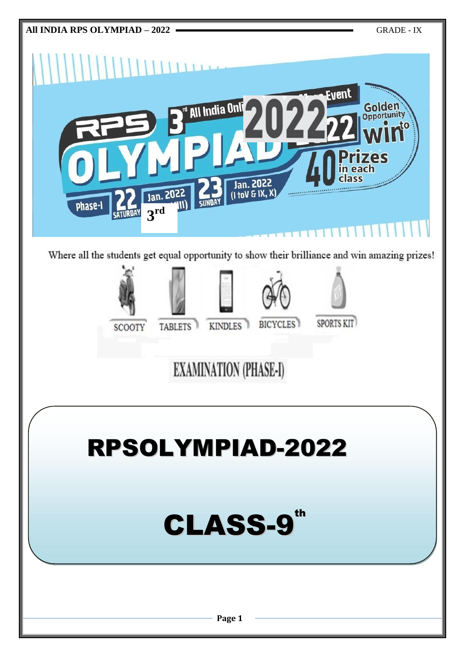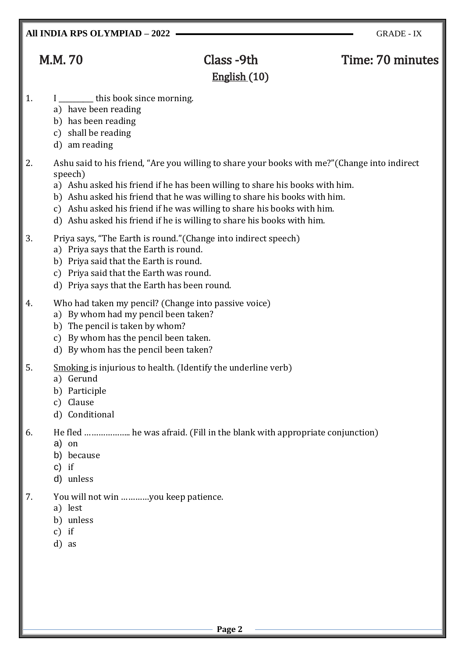# M.M. 70 Class -9th Time: 70 minutes English (10)

## 1. I \_\_\_\_\_\_\_\_\_ this book since morning.

- a) have been reading
- b) has been reading
- c) shall be reading
- d) am reading
- 2. Ashu said to his friend, "Are you willing to share your books with me?"(Change into indirect speech)
	- a) Ashu asked his friend if he has been willing to share his books with him.
	- b) Ashu asked his friend that he was willing to share his books with him.
	- c) Ashu asked his friend if he was willing to share his books with him.
	- d) Ashu asked his friend if he is willing to share his books with him.
- 3. Priya says, "The Earth is round."(Change into indirect speech)
	- a) Priya says that the Earth is round.
	- b) Priya said that the Earth is round.
	- c) Priya said that the Earth was round.
	- d) Priya says that the Earth has been round.
- 4. Who had taken my pencil? (Change into passive voice)
	- a) By whom had my pencil been taken?
	- b) The pencil is taken by whom?
	- c) By whom has the pencil been taken.
	- d) By whom has the pencil been taken?
- 5. Smoking is injurious to health. (Identify the underline verb)
	- a) Gerund
		- b) Participle
		- c) Clause
		- d) Conditional

## 6. He fled ……………….. he was afraid. (Fill in the blank with appropriate conjunction)

- a) on
- b) because
- c) if
- d) unless
- 7. You will not win …………you keep patience.
	- a) lest
	- b) unless
	- c) if
	- d) as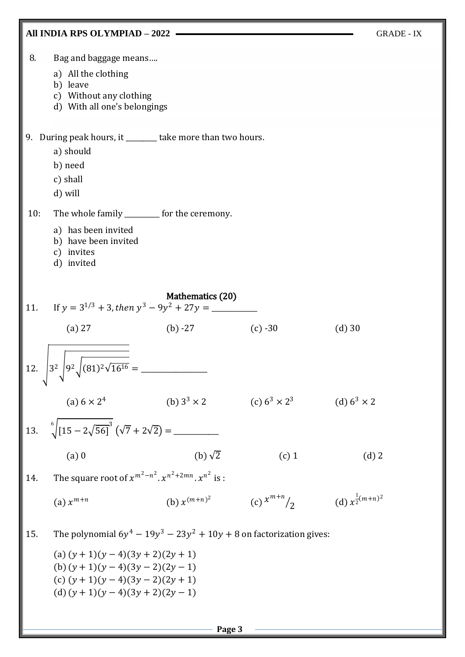

**Page 3**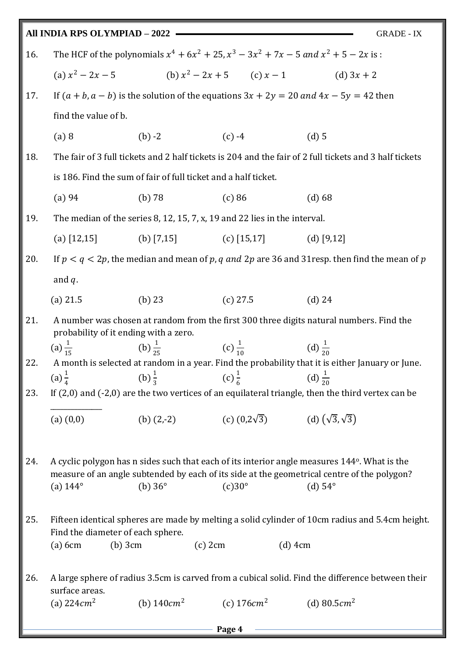|     | All INDIA RPS OLYMPIAD - 2022                                                                                                                                                     |                |                                                          | <b>GRADE - IX</b>                                                                                                                                                                                                              |  |
|-----|-----------------------------------------------------------------------------------------------------------------------------------------------------------------------------------|----------------|----------------------------------------------------------|--------------------------------------------------------------------------------------------------------------------------------------------------------------------------------------------------------------------------------|--|
| 16. | The HCF of the polynomials $x^4 + 6x^2 + 25$ , $x^3 - 3x^2 + 7x - 5$ and $x^2 + 5 - 2x$ is :                                                                                      |                |                                                          |                                                                                                                                                                                                                                |  |
|     |                                                                                                                                                                                   |                |                                                          | (a) $x^2 - 2x - 5$ (b) $x^2 - 2x + 5$ (c) $x - 1$ (d) $3x + 2$                                                                                                                                                                 |  |
| 17. | If $(a + b, a - b)$ is the solution of the equations $3x + 2y = 20$ and $4x - 5y = 42$ then                                                                                       |                |                                                          |                                                                                                                                                                                                                                |  |
|     | find the value of b.                                                                                                                                                              |                |                                                          |                                                                                                                                                                                                                                |  |
|     | (a) 8                                                                                                                                                                             | $(b) -2$       | $(c) -4$                                                 | $(d)$ 5                                                                                                                                                                                                                        |  |
| 18. |                                                                                                                                                                                   |                |                                                          | The fair of 3 full tickets and 2 half tickets is 204 and the fair of 2 full tickets and 3 half tickets                                                                                                                         |  |
|     | is 186. Find the sum of fair of full ticket and a half ticket.                                                                                                                    |                |                                                          |                                                                                                                                                                                                                                |  |
|     | (a) 94                                                                                                                                                                            | (b) 78         | (c) 86                                                   | (d) 68                                                                                                                                                                                                                         |  |
| 19. | The median of the series 8, 12, 15, 7, x, 19 and 22 lies in the interval.                                                                                                         |                |                                                          |                                                                                                                                                                                                                                |  |
|     | (a) $[12,15]$ (b) $[7,15]$ (c) $[15,17]$ (d) $[9,12]$                                                                                                                             |                |                                                          |                                                                                                                                                                                                                                |  |
| 20. | If $p < q < 2p$ , the median and mean of p, q and 2p are 36 and 31 resp. then find the mean of p                                                                                  |                |                                                          |                                                                                                                                                                                                                                |  |
|     | and $q$ .                                                                                                                                                                         |                |                                                          |                                                                                                                                                                                                                                |  |
|     | $(a)$ 21.5                                                                                                                                                                        | (b) $23$       | $(c)$ 27.5                                               | $(d)$ 24                                                                                                                                                                                                                       |  |
| 21. | A number was chosen at random from the first 300 three digits natural numbers. Find the<br>probability of it ending with a zero.                                                  |                |                                                          |                                                                                                                                                                                                                                |  |
|     | (a) $\frac{1}{15}$                                                                                                                                                                |                | (b) $\frac{1}{25}$ (c) $\frac{1}{10}$ (d) $\frac{1}{20}$ |                                                                                                                                                                                                                                |  |
| 22. |                                                                                                                                                                                   |                |                                                          | A month is selected at random in a year. Find the probability that it is either January or June.                                                                                                                               |  |
| 23. | (a) $\frac{1}{4}$ (b) $\frac{1}{3}$ (c) $\frac{1}{6}$ (d) $\frac{1}{20}$<br>If $(2,0)$ and $(-2,0)$ are the two vertices of an equilateral triangle, then the third vertex can be |                |                                                          |                                                                                                                                                                                                                                |  |
|     | (a) (0,0)                                                                                                                                                                         |                |                                                          |                                                                                                                                                                                                                                |  |
| 24. | (a) $144^{\circ}$                                                                                                                                                                 | (b) $36^\circ$ | $(c)30^\circ$                                            | A cyclic polygon has n sides such that each of its interior angle measures 144 <sup>o</sup> . What is the<br>measure of an angle subtended by each of its side at the geometrical centre of the polygon?<br>$(d)$ 54 $\degree$ |  |
| 25. | Find the diameter of each sphere.<br>$(a)$ 6cm<br>$(b)$ 3 $cm$                                                                                                                    |                | $(c)$ 2 $cm$                                             | Fifteen identical spheres are made by melting a solid cylinder of 10cm radius and 5.4cm height.<br>$(d)$ 4cm                                                                                                                   |  |
| 26. | surface areas.<br>(a) $224cm^2$                                                                                                                                                   |                | (b) $140cm^2$ (c) $176cm^2$                              | A large sphere of radius 3.5cm is carved from a cubical solid. Find the difference between their<br>(d) $80.5 \, \text{cm}^2$                                                                                                  |  |
|     |                                                                                                                                                                                   |                |                                                          |                                                                                                                                                                                                                                |  |

**Page 4**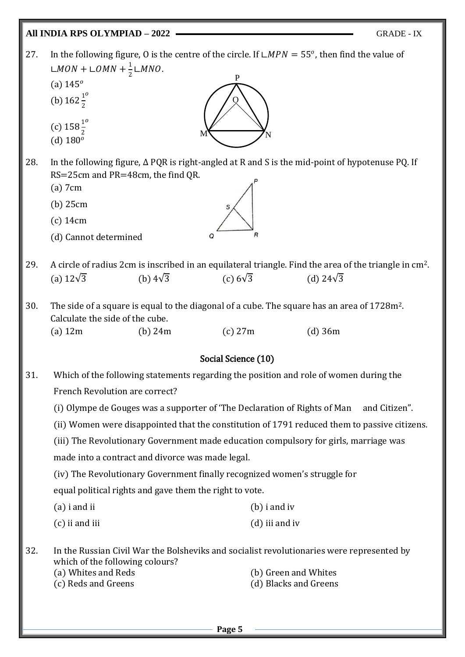## **All INDIA RPS OLYMPIAD – 2022** GRADE - IX

P 27. In the following figure, O is the centre of the circle. If  $\text{L} MPN = 55^\circ$ , then find the value of ∟ $MON + LOMN + \frac{1}{2}$  $\frac{1}{2}$ ∟MNO.

- (a)  $145^{\circ}$
- (b)  $162\frac{1}{2}$  $\boldsymbol{o}$
- (c)  $158\frac{1}{2}$  $\boldsymbol{o}$
- (d)  $180^{\circ}$
- 28. In the following figure, ∆ PQR is right-angled at R and S is the mid-point of hypotenuse PQ. If RS=25cm and PR=48cm, the find QR.

 $M \bigg\{ N \bigg\}$ 

O

- (a) 7cm
- (b) 25cm
- (c) 14cm
- (d) Cannot determined
- 29. A circle of radius 2cm is inscribed in an equilateral triangle. Find the area of the triangle in cm2. (a)  $12\sqrt{3}$  (b)  $4\sqrt{3}$  (c)  $6\sqrt{3}$  (d)  $24\sqrt{3}$
- 30. The side of a square is equal to the diagonal of a cube. The square has an area of 1728m2. Calculate the side of the cube. (a) 12m (b) 24m (c) 27m (d) 36m

## Social Science (10)

- 31. Which of the following statements regarding the position and role of women during the French Revolution are correct?
	- (i) Olympe de Gouges was a supporter of 'The Declaration of Rights of Man and Citizen".
	- (ii) Women were disappointed that the constitution of 1791 reduced them to passive citizens.
	- (iii) The Revolutionary Government made education compulsory for girls, marriage was

made into a contract and divorce was made legal.

(iv) The Revolutionary Government finally recognized women's struggle for

equal political rights and gave them the right to vote.

- (a) i and ii (b) i and iv (c) ii and iii (d) iii and iv
- 32. In the Russian Civil War the Bolsheviks and socialist revolutionaries were represented by which of the following colours? (a) Whites and Reds (b) Green and Whites (c) Reds and Greens (d) Blacks and Greens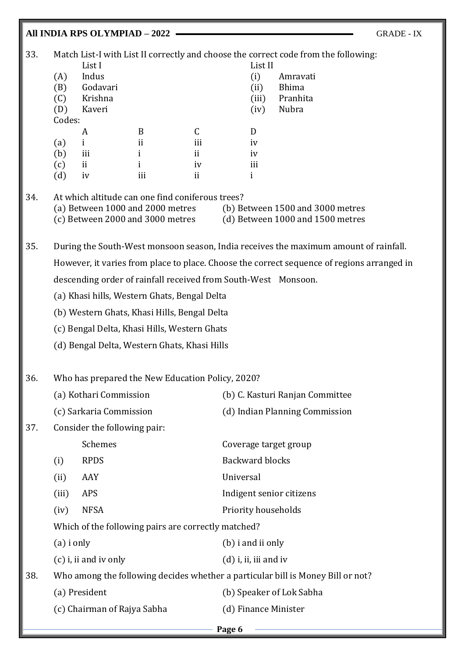## **All INDIA RPS OLYMPIAD – 2022** GRADE - IX 33. Match List-I with List II correctly and choose the correct code from the following: List I List II (A) Indus (i) Amravati (B) Godavari (ii) Bhima (C) Krishna (iii) Pranhita (D) Kaveri (iv) Nubra Codes: A B C D (a) i ii iii iv (b) iii ii ii iv (c) ii i iv iii (d) iv iii ii ii 34. At which altitude can one find coniferous trees? (a) Between 1000 and 2000 metres (b) Between 1500 and 3000 metres  $(c)$  Between 2000 and 3000 metres  $(d)$  Between 1000 and 1500 metres 35. During the South-West monsoon season, India receives the maximum amount of rainfall. However, it varies from place to place. Choose the correct sequence of regions arranged in descending order of rainfall received from South-West Monsoon. (a) Khasi hills, Western Ghats, Bengal Delta (b) Western Ghats, Khasi Hills, Bengal Delta (c) Bengal Delta, Khasi Hills, Western Ghats (d) Bengal Delta, Western Ghats, Khasi Hills 36. Who has prepared the New Education Policy, 2020? (a) Kothari Commission (b) C. Kasturi Ranjan Committee (c) Sarkaria Commission (d) Indian Planning Commission 37. Consider the following pair: Schemes Coverage target group (i) RPDS Backward blocks (ii) AAY Universal (iii) APS Indigent senior citizens (iv) NFSA Priority households Which of the following pairs are correctly matched? (a) i only (b) i and ii only (c) i, ii and iv only (d) i, ii, iii and iv 38. Who among the following decides whether a particular bill is Money Bill or not? (a) President (b) Speaker of Lok Sabha

|  | Doo |
|--|-----|

(c) Chairman of Rajya Sabha (d) Finance Minister

**Page 6**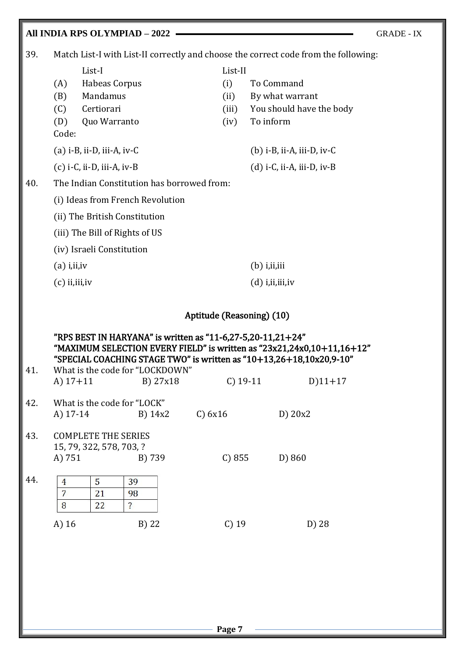## **All INDIA RPS OLYMPIAD – 2022** GRADE - IX

39. Match List-I with List-II correctly and choose the correct code from the following:

|     |                                                                                                                                  | List-I                       | List-II |                                        |
|-----|----------------------------------------------------------------------------------------------------------------------------------|------------------------------|---------|----------------------------------------|
|     | (A)                                                                                                                              | Habeas Corpus                | (i)     | To Command                             |
|     | (B)                                                                                                                              | Mandamus                     | (ii)    | By what warrant                        |
|     | (C)                                                                                                                              | Certiorari                   | (iii)   | You should have the body               |
|     | (D)                                                                                                                              | Quo Warranto                 | (iv)    | To inform                              |
|     | Code:                                                                                                                            |                              |         |                                        |
|     |                                                                                                                                  | $(a)$ i-B, ii-D, iii-A, iv-C |         | $(b)$ i-B, ii-A, iii-D, iv-C           |
|     | $(c)$ i-C, ii-D, iii-A, iv-B                                                                                                     |                              |         | $(d)$ i-C, ii-A, iii-D, iv-B           |
| 40. | The Indian Constitution has borrowed from:                                                                                       |                              |         |                                        |
|     | (i) Ideas from French Revolution<br>(ii) The British Constitution<br>(iii) The Bill of Rights of US<br>(iv) Israeli Constitution |                              |         |                                        |
|     |                                                                                                                                  |                              |         |                                        |
|     |                                                                                                                                  |                              |         |                                        |
|     |                                                                                                                                  |                              |         |                                        |
|     | $(a)$ i, ii, iv                                                                                                                  |                              |         | $(b)$ <i>i</i> , <i>ii</i> , <i>ii</i> |
|     | $(c)$ ii, iii, iv                                                                                                                |                              |         | (d) i,ii,iii,iv                        |

## Aptitude (Reasoning) (10)

"RPS BEST IN HARYANA" is written as "11-6,27-5,20-11,21+24" "MAXIMUM SELECTION EVERY FIELD" is written as "23x21,24x0,10+11,16+12" "SPECIAL COACHING STAGE TWO" is written as "10+13,26+18,10x20,9-10" 41. What is the code for "LOCKDOWN"

|     | A) $17+11$                                                       |               | B) 27x18               | $C)$ 19-11   | $D$ )11+17 |  |
|-----|------------------------------------------------------------------|---------------|------------------------|--------------|------------|--|
| 42. | What is the code for "LOCK"<br>A) $17-14$<br>$B)$ 14x2           |               |                        | $C$ ) $6x16$ | D) 20x2    |  |
| 43. | <b>COMPLETE THE SERIES</b><br>15, 79, 322, 578, 703, ?<br>A) 751 |               | B) 739                 | C) 855       | D) 860     |  |
| 44. | 4<br>7<br>8                                                      | 5<br>21<br>22 | 39<br>98<br>$\ddot{?}$ |              |            |  |
|     | A) 16                                                            |               | B) 22                  | $C)$ 19      | D) 28      |  |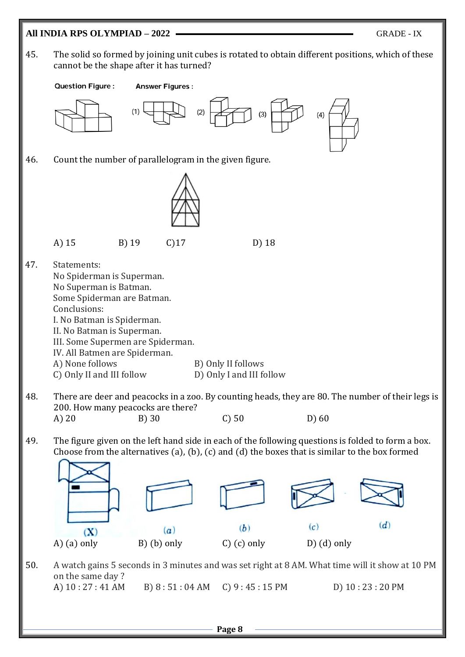# **All INDIA RPS OLYMPIAD – 2022** GRADE - IX 45. The solid so formed by joining unit cubes is rotated to obtain different positions, which of these cannot be the shape after it has turned? **Question Figure: Answer Figures:** 46. Count the number of parallelogram in the given figure. A) 15 B) 19 C)17 D) 18 47. Statements: No Spiderman is Superman. No Superman is Batman. Some Spiderman are Batman. Conclusions: I. No Batman is Spiderman. II. No Batman is Superman. III. Some Supermen are Spiderman. IV. All Batmen are Spiderman. A) None follows B) Only II follows C) Only II and III follow D) Only I and III follow 48. There are deer and peacocks in a zoo. By counting heads, they are 80. The number of their legs is 200. How many peacocks are there? A) 20 B) 30 C) 50 D) 60 49. The figure given on the left hand side in each of the following questions is folded to form a box. Choose from the alternatives (a), (b), (c) and (d) the boxes that is similar to the box formed  $(d)$  $(c)$  $(b)$  $(X)$  $(a)$ A) (a) only B) (b) only C) (c) only D) (d) only 50. A watch gains 5 seconds in 3 minutes and was set right at 8 AM. What time will it show at 10 PM on the same day ? A) 10 : 27 : 41 AM B) 8 : 51 : 04 AM C) 9 : 45 : 15 PM D) 10 : 23 : 20 PM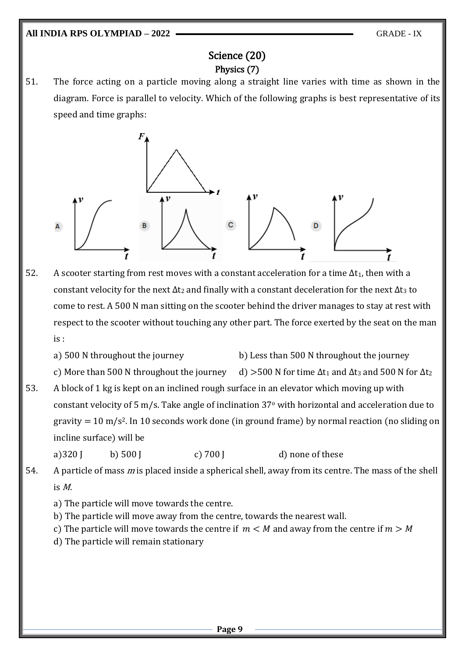## Science (20) Physics (7)

51. The force acting on a particle moving along a straight line varies with time as shown in the diagram. Force is parallel to velocity. Which of the following graphs is best representative of its speed and time graphs:



- 52. A scooter starting from rest moves with a constant acceleration for a time  $\Delta t_1$ , then with a constant velocity for the next  $\Delta t_2$  and finally with a constant deceleration for the next  $\Delta t_3$  to come to rest. A 500 N man sitting on the scooter behind the driver manages to stay at rest with respect to the scooter without touching any other part. The force exerted by the seat on the man is :
	- a) 500 N throughout the journey b) Less than 500 N throughout the journey
	- c) More than 500 N throughout the journey d) >500 N for time  $\Delta t_1$  and  $\Delta t_3$  and 500 N for  $\Delta t_2$
- 53. A block of 1 kg is kept on an inclined rough surface in an elevator which moving up with constant velocity of 5 m/s. Take angle of inclination 37<sup>o</sup> with horizontal and acceleration due to gravity  $= 10$  m/s<sup>2</sup>. In 10 seconds work done (in ground frame) by normal reaction (no sliding on incline surface) will be

a)  $320$  J b)  $500$  J c)  $700$  J d) none of these

54. A particle of mass m is placed inside a spherical shell, away from its centre. The mass of the shell is M.

- a) The particle will move towards the centre.
- b) The particle will move away from the centre, towards the nearest wall.
- c) The particle will move towards the centre if  $m < M$  and away from the centre if  $m > M$
- d) The particle will remain stationary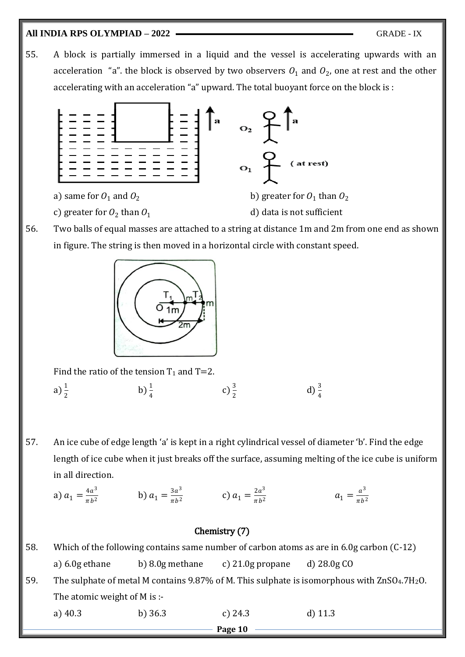### **All INDIA RPS OLYMPIAD – 2022** GRADE - IX

55. A block is partially immersed in a liquid and the vessel is accelerating upwards with an acceleration "a". the block is observed by two observers  $O_1$  and  $O_2$ , one at rest and the other accelerating with an acceleration "a" upward. The total buoyant force on the block is :



56. Two balls of equal masses are attached to a string at distance 1m and 2m from one end as shown in figure. The string is then moved in a horizontal circle with constant speed.



Find the ratio of the tension  $T_1$  and  $T=2$ .

a)  $\frac{1}{2}$ b)  $\frac{1}{4}$ c)  $\frac{3}{2}$ d)  $\frac{3}{4}$ 

57. An ice cube of edge length 'a' is kept in a right cylindrical vessel of diameter 'b'. Find the edge length of ice cube when it just breaks off the surface, assuming melting of the ice cube is uniform in all direction.

a) 
$$
a_1 = \frac{4a^3}{\pi b^2}
$$
   
b)  $a_1 = \frac{3a^3}{\pi b^2}$    
c)  $a_1 = \frac{2a^3}{\pi b^2}$   $a_1 = \frac{a^3}{\pi b^2}$ 

## Chemistry (7)

**Page 10** 58. Which of the following contains same number of carbon atoms as are in 6.0g carbon (C-12) a) 6.0g ethane b) 8.0g methane c) 21.0g propane d) 28.0g CO 59. The sulphate of metal M contains 9.87% of M. This sulphate is isomorphous with ZnSO<sub>4</sub>.7H<sub>2</sub>O. The atomic weight of M is : a) 40.3 b) 36.3 c) 24.3 d) 11.3